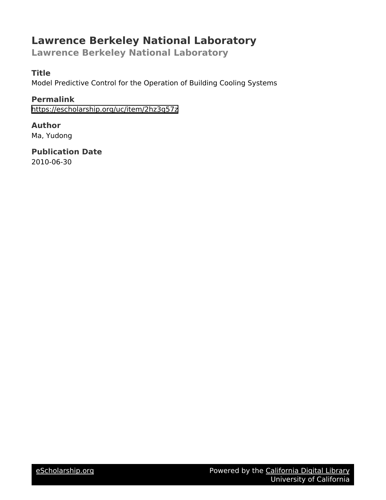# **Lawrence Berkeley National Laboratory**

**Lawrence Berkeley National Laboratory**

# **Title**

Model Predictive Control for the Operation of Building Cooling Systems

**Permalink** <https://escholarship.org/uc/item/2hz3g57z>

# **Author** Ma, Yudong

**Publication Date** 2010-06-30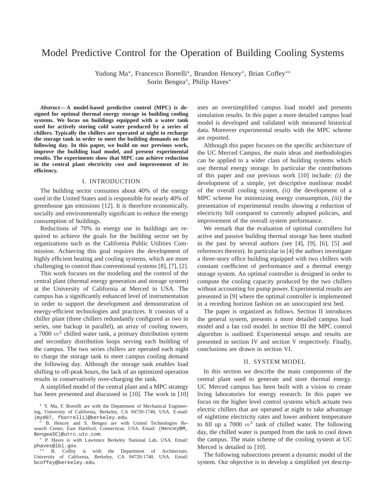# Model Predictive Control for the Operation of Building Cooling Systems

Yudong Ma<sup>\*</sup>, Francesco Borrelli<sup>\*</sup>, Brandon Hencey<sup>°</sup>, Brian Coffey<sup>\*\*</sup>

Sorin Bengea<sup>®</sup>, Philip Haves<sup>\*</sup>

*Abstract***— A model-based predictive control (MPC) is designed for optimal thermal energy storage in building cooling systems. We focus on buildings equipped with a water tank used for actively storing cold water produced by a series of chillers. Typically the chillers are operated at night to recharge the storage tank in order to meet the building demands on the following day. In this paper, we build on our previous work, improve the building load model, and present experimental results. The experiments show that MPC can achieve reduction in the central plant electricity cost and improvement of its efficiency.**

#### I. INTRODUCTION

The building sector consumes about 40% of the energy used in the United States and is responsible for nearly 40% of greenhouse gas emissions [12]. It is therefore economically, socially and environmentally significant to reduce the energy consumption of buildings.

Reductions of 70% in energy use in buildings are required to achieve the goals for the building sector set by organizations such as the California Public Utilities Commission. Achieving this goal requires the development of highly efficient heating and cooling systems, which are more challenging to control than conventional systems [8], [7], [2].

This work focuses on the modeling and the control of the central plant (thermal energy generation and storage system) at the University of California at Merced in USA. The campus has a significantly enhanced level of instrumentation in order to support the development and demonstration of energy-efficient technologies and practices. It consists of a chiller plant (three chillers redundantly configured as two in series, one backup in parallel), an array of cooling towers, a 7000  $m^3$  chilled water tank, a primary distribution system and secondary distribution loops serving each building of the campus. The two series chillers are operated each night to charge the storage tank to meet campus cooling demand the following day. Although the storage tank enables load shifting to off-peak hours, the lack of an optimized operation results in conservatively over-charging the tank.

A simplified model of the central plant and a MPC strategy has been presented and discussed in [10]. The work in [10]

<sup>⋆</sup> Y. Ma, F. Borrelli are with the Department of Mechanical Engineering, University of California, Berkeley, CA 94720-1740, USA. E-mail: {myd07, fborrelli}@berkeley.edu.

∗∗ B. Coffey is with the Department of Architecture, University of California, Berkeley, CA 94720-1740, USA. Email: bcoffey@berkeley.edu.

uses an oversimplified campus load model and presents simulation results. In this paper a more detailed campus load model is developed and validated with measured historical data. Moreover experimental results with the MPC scheme are reported.

Although this paper focuses on the specific architecture of the UC Merced Campus, the main ideas and methodologies can be applied to a wider class of building systems which use thermal energy storage. In particular the contributions of this paper and our previous work [10] include: *(i)* the development of a simple, yet descriptive nonlinear model of the overall cooling system, *(ii)* the development of a MPC scheme for minimizing energy consumption, *(iii)* the presentation of experimental results showing a reduction of electricity bill compared to currently adopted policies, and improvement of the overall system performance.

We remark that the evaluation of optimal controllers for active and passive building thermal storage has been studied in the past by several authors (see [4], [9], [6], [5] and references therein). In particular in [4] the authors investigate a three-story office building equipped with two chillers with constant coefficient of performance and a thermal energy storage system. An optimal controller is designed in order to compute the cooling capacity produced by the two chillers without accounting for pump power. Experimental results are presented in [9] where the optimal controller is implemented in a receding horizon fashion on an unoccupied test bed.

The paper is organized as follows. Section II introduces the general system, presents a more detailed campus load model and a fan coil model. In section III the MPC control algorithm is outlined. Experimental setups and results are presented in section IV and section V respectively. Finally, conclusions are drawn in section VI.

# II. SYSTEM MODEL

In this section we describe the main components of the central plant used to generate and store thermal energy. UC Merced campus has been built with a vision to create living laboratories for energy research. In this paper we focus on the higher level control systems which actuate two electric chillers that are operated at night to take advantage of nighttime electricity rates and lower ambient temperature to fill up a 7000  $m^3$  tank of chilled water. The following day, the chilled water is pumped from the tank to cool down the campus. The main scheme of the cooling system at UC Merced is detailed in [10].

The following subsections present a dynamic model of the system. Our objective is to develop a simplified yet descrip-

B. Hencey and S. Bengea are with United Technologies Research Center, East Hartford, Connecticut, USA. Email: {HenceyBM, BengeaSC}@utrc.utc.com.

<sup>∗</sup> P. Haves is with Lawrence Berkeley National Lab, USA. Email: phaves@lbl.gov.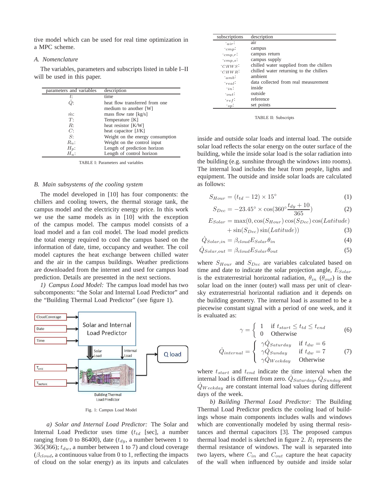tive model which can be used for real time optimization in a MPC scheme.

### *A. Nomenclature*

The variables, parameters and subscripts listed in table I–II will be used in this paper.

| time<br>t:<br>ġ:<br>heat flow transferred from one<br>medium to another [W]<br>$\dot{m}$ :<br>mass flow rate $[kg/s]$<br>T:<br>Temperature [K]<br>heat resistor [K/W]<br>R:<br>C:<br>heat capacitor $[J/K]$<br>S:<br>Weight on the energy consumption<br>$R_u$ :<br>Weight on the control input | parameters and variables | description                  |
|-------------------------------------------------------------------------------------------------------------------------------------------------------------------------------------------------------------------------------------------------------------------------------------------------|--------------------------|------------------------------|
|                                                                                                                                                                                                                                                                                                 |                          |                              |
|                                                                                                                                                                                                                                                                                                 |                          |                              |
|                                                                                                                                                                                                                                                                                                 |                          |                              |
|                                                                                                                                                                                                                                                                                                 |                          |                              |
|                                                                                                                                                                                                                                                                                                 |                          |                              |
|                                                                                                                                                                                                                                                                                                 |                          |                              |
|                                                                                                                                                                                                                                                                                                 |                          |                              |
|                                                                                                                                                                                                                                                                                                 |                          |                              |
|                                                                                                                                                                                                                                                                                                 |                          |                              |
|                                                                                                                                                                                                                                                                                                 | $H_p$ :                  | Length of prediction horizon |
| Length of control horizon<br>$H_u$ :                                                                                                                                                                                                                                                            |                          |                              |

TABLE I: Parameters and variables

### *B. Main subsystems of the cooling system*

The model developed in [10] has four components: the chillers and cooling towers, the thermal storage tank, the campus model and the electricity energy price. In this work we use the same models as in [10] with the exception of the campus model. The campus model consists of a load model and a fan coil model. The load model predicts the total energy required to cool the campus based on the information of date, time, occupancy and weather. The coil model captures the heat exchange between chilled water and the air in the campus buildings. Weather predictions are downloaded from the internet and used for campus load prediction. Details are presented in the next sections.

*1) Campus Load Model:* The campus load model has two subcomponents: "the Solar and Internal Load Predictor" and the "Building Thermal Load Predictor" (see figure 1).



Fig. 1: Campus Load Model

*a) Solar and Internal Load Predictor:* The Solar and Internal Load Predictor uses time  $(t_{td}$  [sec], a number ranging from 0 to 86400), date  $(t_{dy}, \, a \,$  number between 1 to 365(366);  $t_{dw}$ , a number between 1 to 7) and cloud coverage  $(\beta_{cloud},$  a continuous value from 0 to 1, reflecting the impacts of cloud on the solar energy) as its inputs and calculates

| subscriptions            | description                              |
|--------------------------|------------------------------------------|
| $\cdot$ <i>air</i> :     | air                                      |
| $\cdot_{cmp}$ :          | campus                                   |
| $\cdot_{cmp,r}$ :        | campus return                            |
| $\cdot_{cmp,s}$ :        | campus supply                            |
| CHWS                     | chilled water supplied from the chillers |
| CHWR                     | chilled water returning to the chillers  |
| $\cdot$ <sub>amb</sub> : | ambient                                  |
| $real$ :                 | data collected from real measurement     |
| $\cdot$ in:              | inside                                   |
| $\cdot$ out:             | outside                                  |
| $r_{ef}$ :               | reference                                |
| $\cdot_{sp}:$            | set points                               |

TABLE II: Subscripts

inside and outside solar loads and internal load. The outside solar load reflects the solar energy on the outer surface of the building, while the inside solar load is the solar radiation into the building (e.g. sunshine through the windows into rooms). The internal load includes the heat from people, lights and equipment. The outside and inside solar loads are calculated as follows:

$$
S_{Hour} = (t_{td} - 12) \times 15^{\circ} \tag{1}
$$

$$
S_{Dec} = -23.45^{\circ} \times \cos(360^{\circ} \frac{t_{dy} + 10}{365})
$$
 (2)

$$
E_{Solar} = \max(0, \cos(S_{Hour}) \cos(S_{Dec}) \cos(Latitude)
$$
  
+  $\sin(S_{Dec}) \sin(Latitude)$ ) (3)

$$
\dot{Q}_{Solar, in} = \beta_{cloud} E_{Solar} \theta_{in} \tag{4}
$$

$$
\dot{Q}_{Solar,out} = \beta_{cloud} E_{Solar} \theta_{out} \tag{5}
$$

where  $S_{Hour}$  and  $S_{Dec}$  are variables calculated based on time and date to indicate the solar projection angle,  $E_{Solar}$ is the extraterrestrial horizontal radiation,  $\theta_{in}$  ( $\theta_{out}$ ) is the solar load on the inner (outer) wall mass per unit of clearsky extraterrestrial horizontal radiation and it depends on the building geometry. The internal load is assumed to be a piecewise constant signal with a period of one week, and it is evaluated as:

$$
\gamma = \begin{cases} 1 & \text{if } t_{start} \le t_{td} \le t_{end} \\ 0 & \text{Otherwise} \end{cases}
$$
 (6)

$$
\dot{Q}_{internal} = \begin{cases}\n\gamma \dot{Q}_{Saturday} & \text{if } t_{dw} = 6 \\
\gamma \dot{Q}_{Sunday} & \text{if } t_{dw} = 7 \\
\gamma \dot{Q}_{Weekday} & \text{Otherwise}\n\end{cases}
$$
\n(7)

where  $t_{start}$  and  $t_{end}$  indicate the time interval when the internal load is different from zero.  $\dot{Q}_{Saturday}$ ,  $\dot{Q}_{Sunday}$  and  $Q_{Weekdau}$  are constant internal load values during different days of the week.

*b) Building Thermal Load Predictor:* The Building Thermal Load Predictor predicts the cooling load of buildings whose main components includes walls and windows which are conventionally modeled by using thermal resistances and thermal capacitors [3]. The proposed campus thermal load model is sketched in figure 2.  $R_1$  represents the thermal resistance of windows. The wall is separated into two layers, where  $C_{in}$  and  $C_{out}$  capture the heat capacity of the wall when influenced by outside and inside solar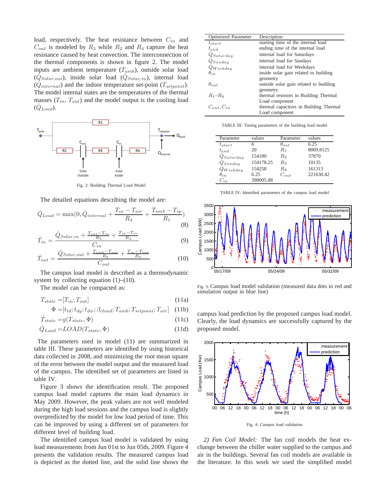load, respectively. The heat resistance between  $C_{in}$  and  $C_{out}$  is modeled by  $R_3$  while  $R_2$  and  $R_4$  capture the heat resistance caused by heat convection. The interconnection of the thermal components is shown in figure 2. The model inputs are ambient temperature  $(T_{amb})$ , outside solar load  $(\dot{Q}_{Solar,out})$ , inside solar load  $(\dot{Q}_{Solar,in})$ , internal load  $(Q_{internal})$  and the indoor temperature set-point  $(T_{setpoint})$ . The model internal states are the temperatures of the thermal masses  $(T_{in}, T_{out})$  and the model output is the cooling load  $(Q_{Load})$ .



Fig. 2: Building Thermal Load Model

The detailed equations describing the model are:

$$
\dot{Q}_{Load} = \max(0, \dot{Q}_{internal} + \frac{T_{in} - T_{air}}{R_4} + \frac{T_{amb} - T_{sp}}{R_1})
$$
\n(8)

$$
\dot{T}_{in} = \frac{\dot{Q}_{Solar,in} + \frac{T_{out} - T_{in}}{R_3} + \frac{T_{sp} - T_{in}}{R_4}}{C_{in}}
$$
(9)

$$
\dot{T}_{out} = \frac{\dot{Q}_{Solar,out} + \frac{T_{amb} - T_{out}}{R_2} + \frac{T_{in} - T_{out}}{R_3}}{C_{out}} \tag{10}
$$

The campus load model is described as a thermodynamic system by collecting equation (1)–(10).

The model can be compacted as:

$$
T_{state} = [T_{in}; T_{out}] \tag{11a}
$$

$$
\Phi = [t_{td}; t_{dy}; t_{dw}; \beta_{cloud}; T_{amb}; T_{setpoint}; T_{air}] \quad (11b)
$$

$$
\dot{T}_{state} = g(T_{state}, \Phi) \tag{11c}
$$

$$
\dot{Q}_{Load} = LOAD(T_{state}, \Phi) \tag{11d}
$$

The parameters used in model (11) are summarized in table III. These parameters are identified by using historical data collected in 2008, and minimizing the root mean square of the error between the model output and the measured load of the campus. The identified set of parameters are listed in table IV.

Figure 3 shows the identification result. The proposed campus load model captures the main load dynamics in May 2009. However, the peak values are not well modeled during the high load sessions and the campus load is slightly overpredicted by the model for low load period of time. This can be improved by using a different set of parameters for different level of building load.

The identified campus load model is validated by using load measurements from Jun 01st to Jun 05th, 2009. Figure 4 presents the validation results. The measured campus load is depicted as the dotted line, and the solid line shows the

| Optimized Parameter | Description                            |
|---------------------|----------------------------------------|
| $t_{start}$         | starting time of the internal load     |
| $t_{end}$           | ending time of the internal load       |
| $Q_{Saturday}$      | internal load for Saturdays            |
| $Q_{Sunday}$        | internal load for Sundays              |
| $Q_{Weekday}$       | internal load for Weekdays             |
| $\theta_{in}$       | inside solar gain related to building  |
|                     | geometry                               |
| $\theta_{out}$      | outside solar gain related to building |
|                     | geometry                               |
| $R_1 - R_4$         | thermal resistors in Building Thermal  |
|                     | Load component                         |
| $C_{out}, C_{in}$   | thermal capacitors in Building Thermal |
|                     | Load component                         |

TABLE III: Tuning parameters of the building load model

| Parameter      | values    | Parameter      | values    |
|----------------|-----------|----------------|-----------|
| $t_{start}$    |           | $\theta_{out}$ | 6.25      |
| $t_{end}$      | 20        | $_{R_1}$       | 8069.8125 |
| $Q_{Saturday}$ | 154180    | R2             | 37870     |
| $Q_{Sunday}$   | 154178.25 | $R_3$          | 10135     |
| $Q_{Weekday}$  | 154258    | $R_{4}$        | 161313    |
| $\theta_{in}$  | 6.25      | $C_{out}$      | 221630.42 |
| $C_{in}$       | 398005.88 |                |           |

TABLE IV: Identified parameters of the campus load model



Fig. 3: Campus load model validation (measured data dots in red and simulation output in blue line)

campus load prediction by the proposed campus load model. Clearly, the load dynamics are successfully captured by the proposed model.



Fig. 4: Campus load validation

*2) Fan Coil Model:* The fan coil models the heat exchange between the chiller water supplied to the campus and air in the buildings. Several fan coil models are available in the literature. In this work we used the simplified model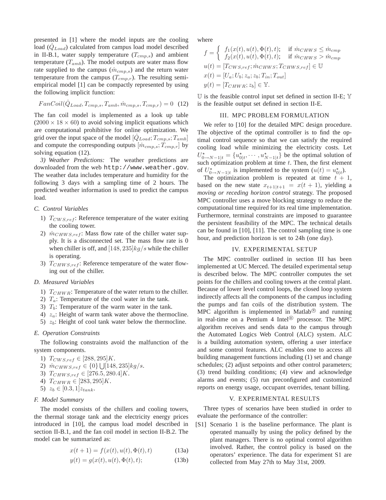presented in [1] where the model inputs are the cooling load  $(Q_{Load})$  calculated from campus load model described in II-B.1, water supply temperature  $(T_{cmp,s})$  and ambient temperature  $(T_{amb})$ . The model outputs are water mass flow rate supplied to the campus  $(\dot{m}_{cmp,s})$  and the return water temperature from the campus  $(T_{cmp,r})$ . The resulting semiempirical model [1] can be compactly represented by using the following implicit function:

$$
FanCoil(\dot{Q}_{Load}, T_{cmp,s}, T_{amb}, \dot{m}_{cmp,s}, T_{cmp,r}) = 0 \quad (12)
$$

The fan coil model is implemented as a look up table  $(2000 \times 18 \times 60)$  to avoid solving implicit equations which are computational prohibitive for online optimization. We grid over the input space of the model  $[Q_{Load}; T_{cmp,s}; T_{amb}]$ and compute the corresponding outputs  $[\dot{m}_{cmp,s}; T_{cmp,r}]$  by solving equation (12).

*3) Weather Predictions:* The weather predictions are downloaded from the web http://www.weather.gov. The weather data includes temperature and humidity for the following 3 days with a sampling time of 2 hours. The predicted weather information is used to predict the campus load.

# *C. Control Variables*

- 1)  $T_{CWS,ref}$ : Reference temperature of the water exiting the cooling tower.
- 2)  $\dot{m}_{CHWS,ref}$ : Mass flow rate of the chiller water supply. It is a disconnected set. The mass flow rate is 0 when chiller is off, and  $[148, 235]$  kg/s while the chiller is operating.
- 3)  $T_{CHWS,ref}$ : Reference temperature of the water flowing out of the chiller.

# *D. Measured Variables*

- 1)  $T_{CHWR}$ : Temperature of the water return to the chiller.
- 2)  $T_a$ : Temperature of the cool water in the tank.
- 3)  $T_b$ : Temperature of the warm water in the tank.
- 4)  $z_a$ : Height of warm tank water above the thermocline.
- 5)  $z_b$ : Height of cool tank water below the thermocline.

# *E. Operation Constraints*

The following constraints avoid the malfunction of the system components.

- 1)  $T_{CWS,ref} \in [288, 295]K$ .
- 2)  $\dot{m}_{CHWS,ref} \in \{0\} \bigcup [148, 235] kg/s.$
- 3)  $T_{CHWS,ref} \in [276.5, 280.4]K$ .
- 4)  $T_{CHWR} \in [283, 295]K$ .
- 5)  $z_b \in [0.3, 1]z_{tank}$ .

# *F. Model Summary*

The model consists of the chillers and cooling towers, the thermal storage tank and the electricity energy prices introduced in [10], the campus load model described in section II-B.1, and the fan coil model in section II-B.2. The model can be summarized as:

$$
x(t+1) = f(x(t), u(t), \Phi(t), t)
$$
 (13a)

$$
y(t) = g(x(t), u(t), \Phi(t), t); \tag{13b}
$$

where

$$
f = \begin{cases} f_1(x(t), u(t), \Phi(t), t); & \text{if } \dot{m}_{CHWS} \le \dot{m}_{cmp} \\ f_2(x(t), u(t), \Phi(t), t); & \text{if } \dot{m}_{CHWS} > \dot{m}_{cmp} \\ u(t) = [T_{CWS, ref}; \dot{m}_{CHWS}; T_{CHWS, ref}] \in \mathbb{U} \\ x(t) = [U_a; U_b; z_a; z_b; T_{in}; T_{out}] \\ y(t) = [T_{CHWR}; z_b] \in \mathbb{Y}. \end{cases}
$$

U is the feasible control input set defined in section II-E;  $\mathbb{Y}$ is the feasible output set defined in section II-E.

# III. MPC PROBLEM FORMULATION

We refer to [10] for the detailed MPC design procedure. The objective of the optimal controller is to find the optimal control sequence so that we can satisfy the required cooling load while minimizing the electricity costs. Let  $U^*_{0\rightarrow N-1|t} = \{u^*_{0|t}, \cdots, u^*_{N-1|t}\}\$  be the optimal solution of such optimization problem at time  $t$ . Then, the first element of  $U^*_{0 \to N-1|t}$  is implemented to the system  $(u(t) = u^*_{0|t}).$ 

The optimization problem is repeated at time  $t + 1$ , based on the new state  $x_{t+1|t+1} = x(t + 1)$ , yielding a *moving or receding horizon control* strategy. The proposed MPC controller uses a move blocking strategy to reduce the computational time required for its real time implementation. Furthermore, terminal constraints are imposed to guarantee the persistent feasibility of the MPC. The technical details can be found in [10], [11]. The control sampling time is one hour, and prediction horizon is set to 24h (one day).

#### IV. EXPERIMENTAL SETUP

The MPC controller outlined in section III has been implemented at UC Merced. The detailed experimental setup is described below. The MPC controller computes the set points for the chillers and cooling towers at the central plant. Because of lower level control loops, the closed loop system indirectly affects all the components of the campus including the pumps and fan coils of the distribution system. The MPC algorithm is implemented in Matlab $^{\circledR}$  and running in real-time on a Pentium 4 Intel $\mathbb{R}$  processor. The MPC algorithm receives and sends data to the campus through the Automated Logics Web Control (ALC) system. ALC is a building automation system, offering a user interface and some control features. ALC enables one to access all building management functions including (1) set and change schedules; (2) adjust setpoints and other control parameters; (3) trend building conditions; (4) view and acknowledge alarms and events; (5) run preconfigured and customized reports on energy usage, occupant overrides, tenant billing.

# V. EXPERIMENTAL RESULTS

Three types of scenarios have been studied in order to evaluate the performance of the controller:

[S1] Scenario 1 is the baseline performance. The plant is operated manually by using the policy defined by the plant managers. There is no optimal control algorithm involved. Rather, the control policy is based on the operators' experience. The data for experiment S1 are collected from May 27th to May 31st, 2009.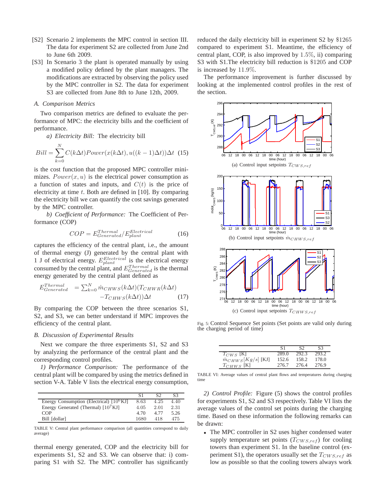- [S2] Scenario 2 implements the MPC control in section III. The data for experiment S2 are collected from June 2nd to June 6th 2009.
- [S3] In Scenario 3 the plant is operated manually by using a modified policy defined by the plant managers. The modifications are extracted by observing the policy used by the MPC controller in S2. The data for experiment S3 are collected from June 8th to June 12th, 2009.

# *A. Comparison Metrics*

Two comparison metrics are defined to evaluate the performance of MPC: the electricity bills and the coefficient of performance.

*a) Electricity Bill:* The electricity bill

$$
Bill = \sum_{k=0}^{N} C(k\Delta t) Power(x(k\Delta t), u((k-1)\Delta t)) \Delta t
$$
 (15)

is the cost function that the proposed MPC controller minimizes.  $Power(x, u)$  is the electrical power consumption as a function of states and inputs, and  $C(t)$  is the price of electricity at time  $t$ . Both are defined in [10]. By comparing the electricity bill we can quantify the cost savings generated by the MPC controller.

*b) Coefficient of Performance:* The Coefficient of Performance (COP)

$$
COP = E_{Generaled}^{Thermal} / E_{plant}^{Electrical}
$$
 (16)

captures the efficiency of the central plant, i.e., the amount of thermal energy (J) generated by the central plant with 1 J of electrical energy.  $E_{plant}^{Electrical}$  is the electrical energy consumed by the central plant, and  $E^{Thermal}_{General}$  is the thermal energy generated by the central plant defined as

$$
E_{General}^{Thermal} = \sum_{k=0}^{N} \dot{m}_{CHWS}(k\Delta t) (T_{CHWR}(k\Delta t) - T_{CHWS}(k\Delta t)) \Delta t
$$
 (17)

By comparing the COP between the three scenarios S1, S2, and S3, we can better understand if MPC improves the efficiency of the central plant.

#### *B. Discussion of Experimental Results*

Next we compare the three experiments S1, S2 and S3 by analyzing the performance of the central plant and the corresponding control profiles.

*1) Performance Comparison:* The performance of the central plant will be compared by using the metrics defined in section V-A. Table V lists the electrical energy consumption,

|                                             | S1   |      | S3   |
|---------------------------------------------|------|------|------|
| Energy Consumption (Electrical) $[10^6$ KJ] | 8.63 | 4.25 | 4.40 |
| Energy Generated (Thermal) $[107 KJ]$       | 4.05 | 2.01 | 2.31 |
| COP                                         | 4.70 | 4 77 | 5.26 |
| Bill [dollar]                               | 1680 | 418  | 475  |

TABLE V: Central plant performance comparison (all quantities correspond to daily average)

thermal energy generated, COP and the electricity bill for experiments S1, S2 and S3. We can observe that: i) comparing S1 with S2. The MPC controller has significantly reduced the daily electricity bill in experiment S2 by \$1265 compared to experiment S1. Meantime, the efficiency of central plant, COP, is also improved by 1.5%, ii) comparing S3 with S1.The electricity bill reduction is \$1205 and COP is increased by 11.9%.

The performance improvement is further discussed by looking at the implemented control profiles in the rest of the section.



Fig. 5: Control Sequence Set points (Set points are valid only during the charging period of time)

|                              |       | $\mathbf{S}$ | S <sup>3</sup> |
|------------------------------|-------|--------------|----------------|
| $T_{CWS}$ [K]                | 289.0 | 292.3        | 293.2          |
| $\dot{m}_{CHWS}$ [Kg/s] [KJ] | 152.6 | 158.2        | 178.0          |
| $T_{CHWS}$ [K]               | 276.7 | 276.4        | 276.9          |

TABLE VI: Average values of central plant flows and temperatures during charging time

*2) Control Profile:* Figure (5) shows the control profiles for experiments S1, S2 and S3 respectively. Table VI lists the average values of the control set points during the charging time. Based on these information the following remarks can be drawn:

• The MPC controller in S2 uses higher condensed water supply temperature set points  $(T_{CWS,ref})$  for cooling towers than experiment S1. In the baseline control (experiment S1), the operators usually set the  $T_{CWS,ref}$  as low as possible so that the cooling towers always work